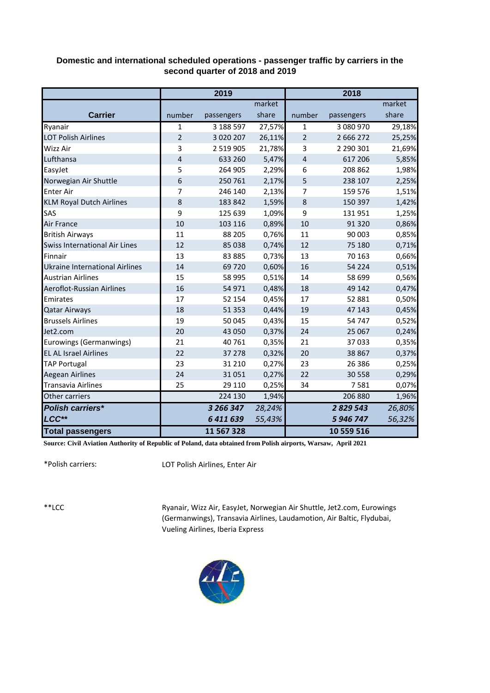## **Domestic and international scheduled operations - passenger traffic by carriers in the second quarter of 2018 and 2019**

|                                       |                | 2019          |        |                         | 2018        |        |
|---------------------------------------|----------------|---------------|--------|-------------------------|-------------|--------|
|                                       |                |               | market |                         |             | market |
| <b>Carrier</b>                        | number         | passengers    | share  | number                  | passengers  | share  |
| Ryanair                               | $\mathbf{1}$   | 3 188 597     | 27,57% | $\mathbf{1}$            | 3 080 970   | 29,18% |
| <b>LOT Polish Airlines</b>            | $\overline{2}$ | 3 0 2 0 2 0 7 | 26,11% | $\overline{2}$          | 2 6 6 2 7 2 | 25,25% |
| Wizz Air                              | 3              | 2 519 905     | 21,78% | 3                       | 2 290 301   | 21,69% |
| Lufthansa                             | $\overline{4}$ | 633 260       | 5,47%  | $\overline{\mathbf{4}}$ | 617 206     | 5,85%  |
| EasyJet                               | 5              | 264 905       | 2,29%  | 6                       | 208 862     | 1,98%  |
| Norwegian Air Shuttle                 | 6              | 250 761       | 2,17%  | 5                       | 238 107     | 2,25%  |
| <b>Enter Air</b>                      | 7              | 246 140       | 2,13%  | 7                       | 159 576     | 1,51%  |
| <b>KLM Royal Dutch Airlines</b>       | 8              | 183 842       | 1,59%  | 8                       | 150 397     | 1,42%  |
| SAS                                   | 9              | 125 639       | 1,09%  | 9                       | 131 951     | 1,25%  |
| Air France                            | 10             | 103 116       | 0,89%  | 10                      | 91 3 20     | 0,86%  |
| <b>British Airways</b>                | 11             | 88 205        | 0,76%  | 11                      | 90 003      | 0,85%  |
| Swiss International Air Lines         | 12             | 85 038        | 0,74%  | 12                      | 75 180      | 0,71%  |
| Finnair                               | 13             | 83 885        | 0,73%  | 13                      | 70 163      | 0,66%  |
| <b>Ukraine International Airlines</b> | 14             | 69720         | 0,60%  | 16                      | 54 2 2 4    | 0,51%  |
| <b>Austrian Airlines</b>              | 15             | 58 995        | 0,51%  | 14                      | 58 699      | 0,56%  |
| Aeroflot-Russian Airlines             | 16             | 54 971        | 0,48%  | 18                      | 49 142      | 0,47%  |
| Emirates                              | 17             | 52 154        | 0,45%  | 17                      | 52 881      | 0,50%  |
| <b>Qatar Airways</b>                  | 18             | 51 353        | 0,44%  | 19                      | 47 143      | 0,45%  |
| <b>Brussels Airlines</b>              | 19             | 50 045        | 0,43%  | 15                      | 54 747      | 0,52%  |
| Jet2.com                              | 20             | 43 050        | 0,37%  | 24                      | 25 067      | 0,24%  |
| Eurowings (Germanwings)               | 21             | 40 761        | 0,35%  | 21                      | 37 033      | 0,35%  |
| <b>EL AL Israel Airlines</b>          | 22             | 37 278        | 0,32%  | 20                      | 38 867      | 0,37%  |
| <b>TAP Portugal</b>                   | 23             | 31 210        | 0,27%  | 23                      | 26 38 6     | 0,25%  |
| <b>Aegean Airlines</b>                | 24             | 31051         | 0,27%  | 22                      | 30 558      | 0,29%  |
| <b>Transavia Airlines</b>             | 25             | 29 110        | 0,25%  | 34                      | 7581        | 0,07%  |
| Other carriers                        |                | 224 130       | 1,94%  |                         | 206 880     | 1,96%  |
| <b>Polish carriers*</b>               |                | 3 266 347     | 28,24% |                         | 2 829 543   | 26,80% |
| LCC**                                 |                | 6411639       | 55,43% |                         | 5 946 747   | 56,32% |
| <b>Total passengers</b>               |                | 11 567 328    |        |                         | 10 559 516  |        |

**Source: Civil Aviation Authority of Republic of Poland, data obtained from Polish airports, Warsaw, April 2021**

\*Polish carriers:

LOT Polish Airlines, Enter Air

\*\*LCC

Ryanair, Wizz Air, EasyJet, Norwegian Air Shuttle, Jet2.com, Eurowings (Germanwings), Transavia Airlines, Laudamotion, Air Baltic, Flydubai, Vueling Airlines, Iberia Express